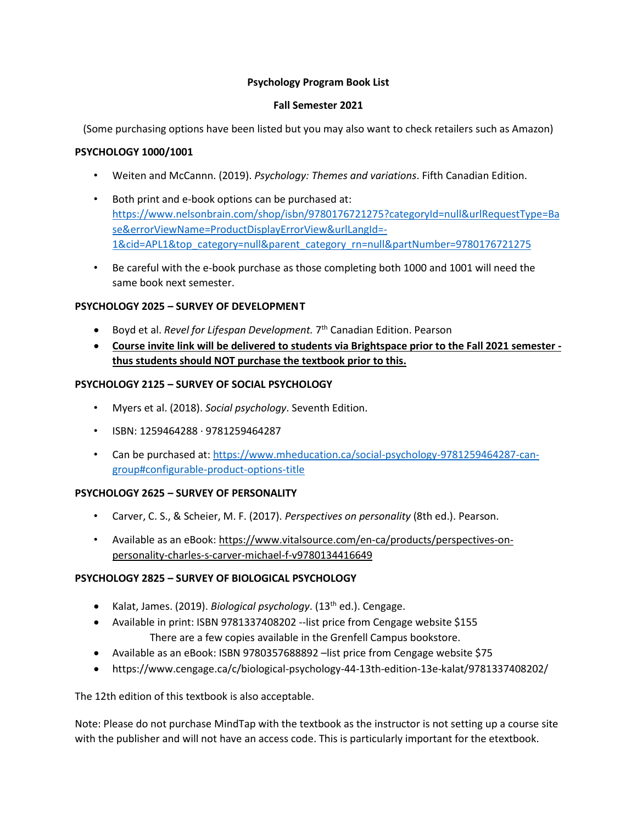## **Psychology Program Book List**

### **Fall Semester 2021**

(Some purchasing options have been listed but you may also want to check retailers such as Amazon)

## **PSYCHOLOGY 1000/1001**

- Weiten and McCannn. (2019). *Psychology: Themes and variations*. Fifth Canadian Edition.
- Both print and e-book options can be purchased at: [https://www.nelsonbrain.com/shop/isbn/9780176721275?categoryId=null&urlRequestType=Ba](about:blank) [se&errorViewName=ProductDisplayErrorView&urlLangId=-](about:blank) [1&cid=APL1&top\\_category=null&parent\\_category\\_rn=null&partNumber=9780176721275](about:blank)
- Be careful with the e-book purchase as those completing both 1000 and 1001 will need the same book next semester.

# **PSYCHOLOGY 2025 – SURVEY OF DEVELOPMENT**

- **•** Boyd et al. *Revel for Lifespan Development.* 7<sup>th</sup> Canadian Edition. Pearson
- **Course invite link will be delivered to students via Brightspace prior to the Fall 2021 semester thus students should NOT purchase the textbook prior to this.**

### **PSYCHOLOGY 2125 – SURVEY OF SOCIAL PSYCHOLOGY**

- Myers et al. (2018). *Social psychology*. Seventh Edition.
- ISBN: 1259464288 · 9781259464287
- Can be purchased at: [https://www.mheducation.ca/social-psychology-9781259464287-can](about:blank)[group#configurable-product-options-title](about:blank)

#### **PSYCHOLOGY 2625 – SURVEY OF PERSONALITY**

- Carver, C. S., & Scheier, M. F. (2017). *Perspectives on personality* (8th ed.). Pearson.
- Available as an eBook: https://www.vitalsource.com/en-ca/products/perspectives-onpersonality-charles-s-carver-michael-f-v9780134416649

# **PSYCHOLOGY 2825 – SURVEY OF BIOLOGICAL PSYCHOLOGY**

- Kalat, James. (2019). *Biological psychology*. (13th ed.). Cengage.
- Available in print: ISBN 9781337408202 --list price from Cengage website \$155 There are a few copies available in the Grenfell Campus bookstore.
- Available as an eBook: ISBN 9780357688892 list price from Cengage website \$75
- https://www.cengage.ca/c/biological-psychology-44-13th-edition-13e-kalat/9781337408202/

The 12th edition of this textbook is also acceptable.

Note: Please do not purchase MindTap with the textbook as the instructor is not setting up a course site with the publisher and will not have an access code. This is particularly important for the etextbook.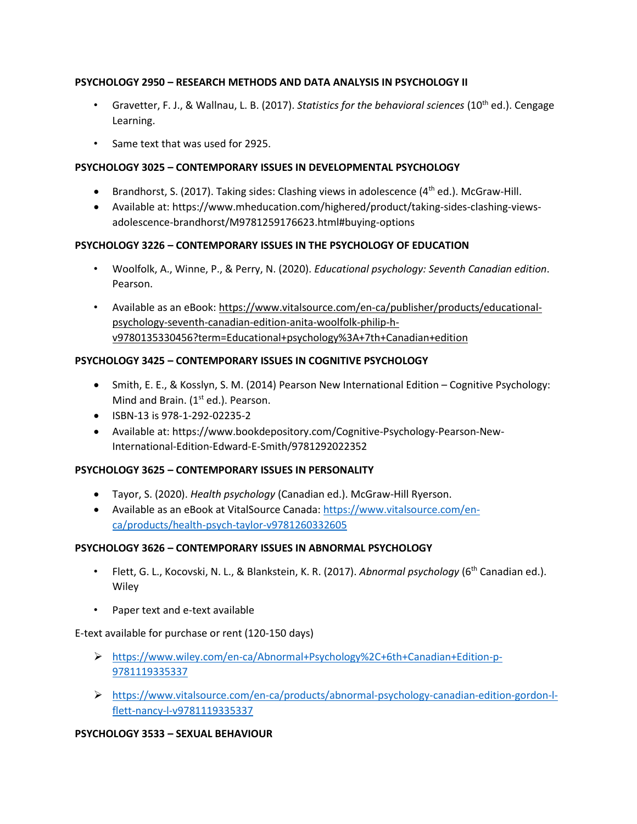# **PSYCHOLOGY 2950 – RESEARCH METHODS AND DATA ANALYSIS IN PSYCHOLOGY II**

- Gravetter, F. J., & Wallnau, L. B. (2017). *Statistics for the behavioral sciences* (10th ed.). Cengage Learning.
- Same text that was used for 2925.

# **PSYCHOLOGY 3025 – CONTEMPORARY ISSUES IN DEVELOPMENTAL PSYCHOLOGY**

- **•** Brandhorst, S. (2017). Taking sides: Clashing views in adolescence  $(4<sup>th</sup>$  ed.). McGraw-Hill.
- Available at: https://www.mheducation.com/highered/product/taking-sides-clashing-viewsadolescence-brandhorst/M9781259176623.html#buying-options

# **PSYCHOLOGY 3226 – CONTEMPORARY ISSUES IN THE PSYCHOLOGY OF EDUCATION**

- Woolfolk, A., Winne, P., & Perry, N. (2020). *Educational psychology: Seventh Canadian edition*. Pearson.
- Available as an eBook: https://www.vitalsource.com/en-ca/publisher/products/educationalpsychology-seventh-canadian-edition-anita-woolfolk-philip-hv9780135330456?term=Educational+psychology%3A+7th+Canadian+edition

# **PSYCHOLOGY 3425 – CONTEMPORARY ISSUES IN COGNITIVE PSYCHOLOGY**

- Smith, E. E., & Kosslyn, S. M. (2014) Pearson New International Edition Cognitive Psychology: Mind and Brain. (1<sup>st</sup> ed.). Pearson.
- ISBN-13 is 978-1-292-02235-2
- Available at: https://www.bookdepository.com/Cognitive-Psychology-Pearson-New-International-Edition-Edward-E-Smith/9781292022352

# **PSYCHOLOGY 3625 – CONTEMPORARY ISSUES IN PERSONALITY**

- Tayor, S. (2020). *Health psychology* (Canadian ed.). McGraw-Hill Ryerson.
- Available as an eBook at VitalSource Canada[: https://www.vitalsource.com/en](https://www.vitalsource.com/en-ca/products/health-psych-taylor-v9781260332605)[ca/products/health-psych-taylor-v9781260332605](https://www.vitalsource.com/en-ca/products/health-psych-taylor-v9781260332605)

# **PSYCHOLOGY 3626 – CONTEMPORARY ISSUES IN ABNORMAL PSYCHOLOGY**

- Flett, G. L., Kocovski, N. L., & Blankstein, K. R. (2017). *Abnormal psychology* (6th Canadian ed.). **Wiley**
- Paper text and e-text available

# E-text available for purchase or rent (120-150 days)

- ➢ [https://www.wiley.com/en-ca/Abnormal+Psychology%2C+6th+Canadian+Edition-p-](about:blank)[9781119335337](about:blank)
- ➢ [https://www.vitalsource.com/en-ca/products/abnormal-psychology-canadian-edition-gordon-l](about:blank)[flett-nancy-l-v9781119335337](about:blank)

# **PSYCHOLOGY 3533 – SEXUAL BEHAVIOUR**